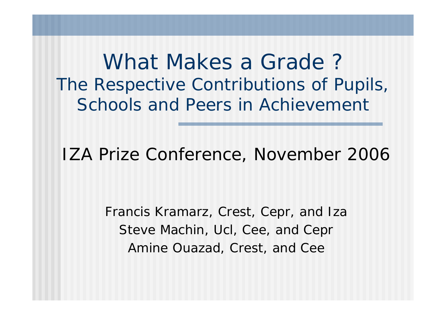What Makes a Grade ? The Respective Contributions of Pupils, Schools and Peers in Achievement

IZA Prize Conference, November 2006

Francis Kramarz, Crest, Cepr, and Iza Steve Machin, Ucl, Cee, and Cepr Amine Ouazad, Crest, and Cee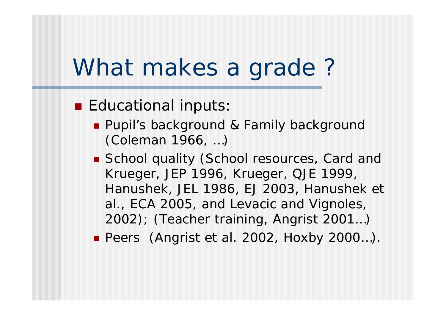## What makes a grade ?

#### **Educational inputs:**

- **Pupil's background & Family background** (Coleman 1966, …)
- School quality (School resources, Card and Krueger, JEP 1996, Krueger, QJE 1999, Hanushek, JEL 1986, EJ 2003, Hanushek et al., ECA 2005, and Levacic and Vignoles, 2002); (Teacher training, Angrist 2001…)
- Peers (Angrist et al. 2002, Hoxby 2000...).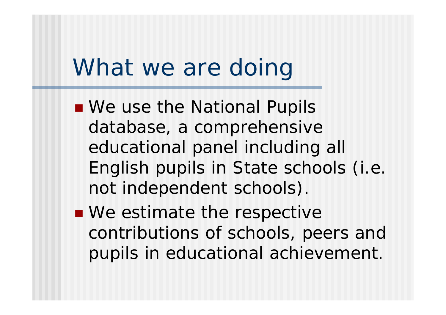### What we are doing

- We use the National Pupils database, a comprehensive educational panel including all English pupils in State schools (i.e. not independent schools).
- We estimate the respective contributions of schools, peers and pupils in educational achievement.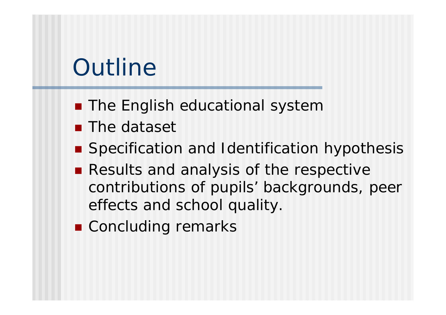## **Outline**

- The English educational system
- **The dataset**
- **Specification and Identification hypothesis**
- Results and analysis of the respective contributions of pupils' backgrounds, peer effects and school quality.
- Concluding remarks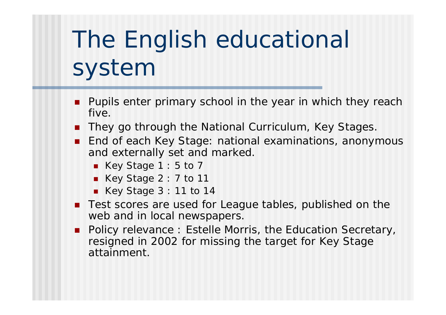# The English educational system

- F Pupils enter primary school in the year in which they reach five.
- **They go through the National Curriculum, Key Stages.**
- End of each Key Stage: national examinations, anonymous and externally set and marked.
	- Key Stage 1 : 5 to 7
	- Key Stage 2 : 7 to 11
	- Key Stage 3 : 11 to 14
- Test scores are used for League tables, published on the web and in local newspapers.
- $\mathbf{r}$  Policy relevance : Estelle Morris, the Education Secretary, resigned in 2002 for missing the target for Key Stage attainment.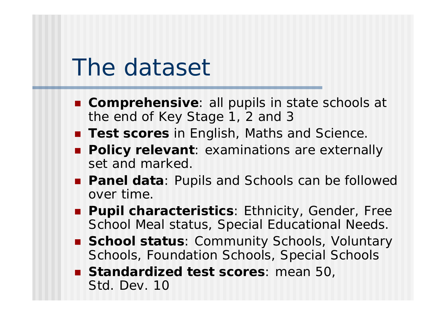#### The dataset

- **Comprehensive**: all pupils in state schools at the end of Key Stage 1, 2 and 3
- **Test scores** in English, Maths and Science.
- **Policy relevant**: examinations are externally set and marked.
- **Panel data**: Pupils and Schools can be followed over time.
- **Pupil characteristics**: Ethnicity, Gender, Free School Meal status, Special Educational Needs.
- **School status**: Community Schools, Voluntary Schools, Foundation Schools, Special Schools
- **Standardized test scores**: mean 50, Std. Dev. 10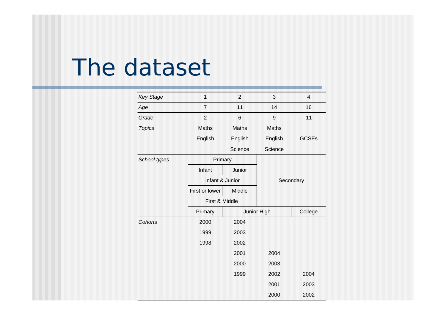### The dataset

| <b>Key Stage</b> | $\mathbf{1}$    | $\overline{2}$ | 3            | $\overline{\mathbf{4}}$ |  |
|------------------|-----------------|----------------|--------------|-------------------------|--|
| Age              | $\overline{7}$  | 11             | 14           | 16                      |  |
| Grade            | $\overline{2}$  | 6              | 9            | 11                      |  |
| <b>Topics</b>    | Maths           | Maths          | <b>Maths</b> |                         |  |
|                  | English         | English        | English      | <b>GCSEs</b>            |  |
|                  |                 | Science        | Science      |                         |  |
| School types     | Primary         |                |              |                         |  |
|                  | Infant          | Junior         |              |                         |  |
|                  | Infant & Junior |                | Secondary    |                         |  |
|                  | First or lower  | Middle         |              |                         |  |
|                  | First & Middle  |                |              |                         |  |
|                  | Primary         |                | Junior High  | College                 |  |
| Cohorts          | 2000            | 2004           |              |                         |  |
|                  | 1999            | 2003           |              |                         |  |
|                  | 1998            | 2002           |              |                         |  |
|                  |                 | 2001           | 2004         |                         |  |
|                  |                 | 2000           | 2003         |                         |  |
|                  |                 | 1999           | 2002         | 2004                    |  |
|                  |                 |                | 2001         | 2003                    |  |
|                  |                 |                | 2000         | 2002                    |  |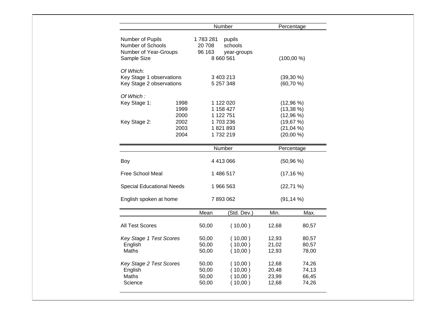|                                                                               |                      | Number                                                                      |                                        |                                    | Percentage                                |  |
|-------------------------------------------------------------------------------|----------------------|-----------------------------------------------------------------------------|----------------------------------------|------------------------------------|-------------------------------------------|--|
| Number of Pupils<br>Number of Schools<br>Number of Year-Groups<br>Sample Size |                      | 1783281<br>pupils<br>20708<br>schools<br>96 163<br>year-groups<br>8 660 561 |                                        | (100,00%                           |                                           |  |
|                                                                               |                      |                                                                             |                                        |                                    |                                           |  |
| Of Which:<br>Key Stage 1 observations<br>Key Stage 2 observations             |                      | 3 403 213<br>5 257 348                                                      |                                        | $(39,30\%)$<br>$(60, 70\%)$        |                                           |  |
| Of Which:                                                                     |                      |                                                                             |                                        |                                    |                                           |  |
| Key Stage 1:                                                                  | 1998<br>1999<br>2000 |                                                                             | 1 122 020<br>1 158 427<br>1 122 751    |                                    | $(12,96\%)$<br>$(13,38\%)$<br>$(12,96\%)$ |  |
| Key Stage 2:                                                                  | 2002<br>2003<br>2004 | 1703236<br>1821893<br>1732 219                                              |                                        | (19,67%)<br>(21,04%<br>$(20,00\%)$ |                                           |  |
|                                                                               |                      |                                                                             | Number                                 |                                    | Percentage                                |  |
| Boy                                                                           |                      | 4 413 066                                                                   |                                        | $(50, 96\%)$                       |                                           |  |
| Free School Meal                                                              |                      |                                                                             | 1 486 517                              | (17, 16%)                          |                                           |  |
| <b>Special Educational Needs</b>                                              |                      |                                                                             | 1 966 563                              |                                    | (22,71%)                                  |  |
| English spoken at home                                                        |                      | 7893062                                                                     |                                        | $(91, 14\%)$                       |                                           |  |
|                                                                               |                      | Mean                                                                        | (Std. Dev.)                            | Min.                               | Max.                                      |  |
| <b>All Test Scores</b>                                                        |                      | 50,00                                                                       | (10,00)                                | 12,68                              | 80,57                                     |  |
| Key Stage 1 Test Scores<br>English<br>Maths                                   |                      | 50,00<br>50,00<br>50,00                                                     | (10,00)<br>(10,00)<br>(10,00)          | 12,93<br>21,02<br>12,93            | 80,57<br>80,57<br>78,00                   |  |
| Key Stage 2 Test Scores<br>English<br>Maths<br>Science                        |                      | 50,00<br>50,00<br>50,00<br>50,00                                            | (10,00)<br>(10,00)<br>10,00)<br>10,00) | 12,68<br>20,48<br>23,99<br>12,68   | 74,26<br>74,13<br>66,45<br>74,26          |  |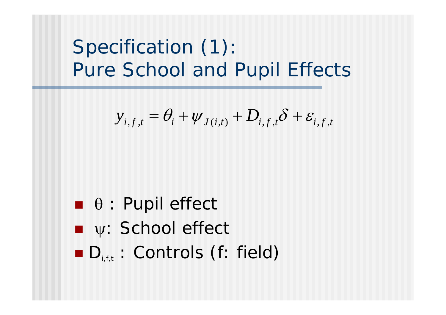#### Specification (1): Pure School and Pupil Effects

$$
y_{i,f,t} = \theta_i + \psi_{J(i,t)} + D_{i,f,t} \delta + \varepsilon_{i,f,t}
$$

- $\blacksquare$   $\theta$  : Pupil effect
- **■** ψ: School effect
- D<sub>i,f,t</sub> : Controls (*f*: field)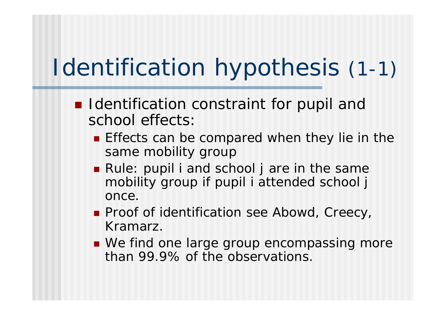# Identification hypothesis (1-1)

- **I** Identification constraint for pupil and school effects:
	- **Effects can be compared when they lie in the** same *mobility group*
	- Rule: pupil *i* and school *j* are in the same *mobility group* if pupil i attended school *j* once.
	- **Proof of identification see Abowd, Creecy,** Kramarz.
	- We find one large group encompassing more than 99.9% of the observations.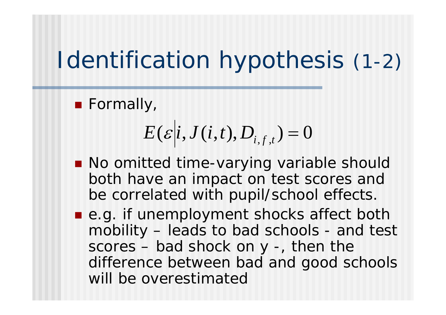# Identification hypothesis (1-2)

**Formally,** 

$$
E(\varepsilon|i, J(i,t), D_{i,f,t}) = 0
$$

- No omitted time-varying variable should both have an impact on test scores and be correlated with pupil/school effects.
- e.g. if unemployment shocks affect both mobility – leads to bad schools - and test scores – bad shock on y -, then the difference between bad and good schools will be overestimated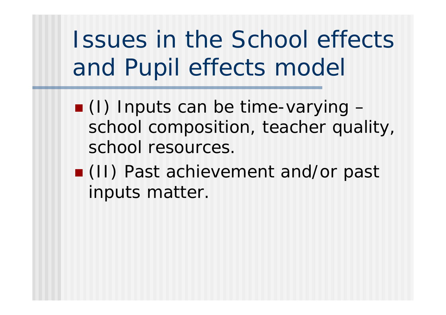Issues in the School effects and Pupil effects model

- (I) Inputs can be time-varying – school composition, teacher quality, school resources.
- (II) Past achievement and/or past inputs matter.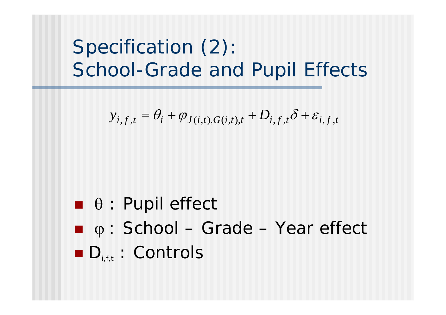#### Specification (2): School-Grade and Pupil Effects

$$
y_{i,f,t} = \theta_i + \varphi_{J(i,t),G(i,t),t} + D_{i,f,t}\delta + \varepsilon_{i,f,t}
$$

- $\blacksquare$   $\theta$  : Pupil effect
- **■** φ : School Grade Year effect
- $\blacksquare$   $\blacksquare$   $\blacksquare$   $\blacksquare$   $\blacksquare$   $\blacksquare$   $\blacksquare$   $\blacksquare$   $\blacksquare$   $\blacksquare$   $\blacksquare$   $\blacksquare$   $\blacksquare$   $\blacksquare$   $\blacksquare$   $\blacksquare$   $\blacksquare$   $\blacksquare$   $\blacksquare$   $\blacksquare$   $\blacksquare$   $\blacksquare$   $\blacksquare$   $\blacksquare$   $\blacksquare$   $\blacksquare$   $\blacksquare$   $\blacksquare$   $\blacksquare$   $\blacksquare$   $\blacksquare$   $\blacks$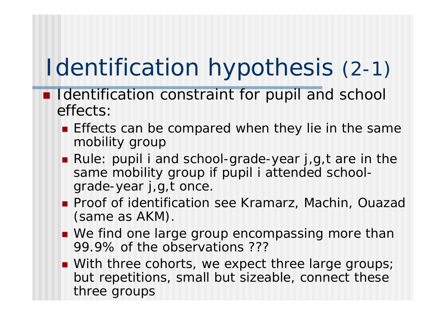# Identification hypothesis (2-1)

- **I** Identification constraint for pupil and school effects:
	- **Effects can be compared when they lie in the same** *mobility group*
	- Rule: pupil *i* and school-grade-year *j,g,t* are in the same *mobility group* if pupil i attended schoolgrade-year *j,g,t* once.
	- **Proof of identification see Kramarz, Machin, Ouazad** (same as AKM).
	- We find one large group encompassing more than 99.9% of the observations ???
	- **Nith three cohorts, we expect three large groups;** but repetitions, small but sizeable, connect these three groups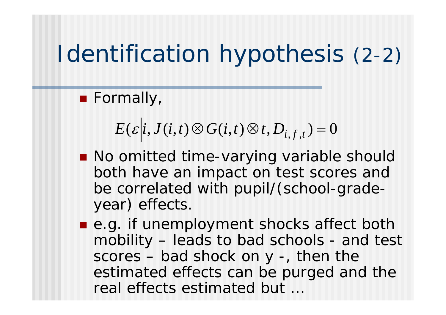# Identification hypothesis (2-2)

**Formally,** 

 $E(\mathcal{E}|i,J(i,t)\,\otimes\, G(i,t)\,\otimes\, t,D_{i,f,t})$  $=0$ 

- No omitted time-varying variable should both have an impact on test scores and be correlated with pupil/(school-gradeyear) effects.
- e.g. if unemployment shocks affect both mobility – leads to bad schools - and test scores – bad shock on y -, then the estimated effects can be purged and the real effects estimated but …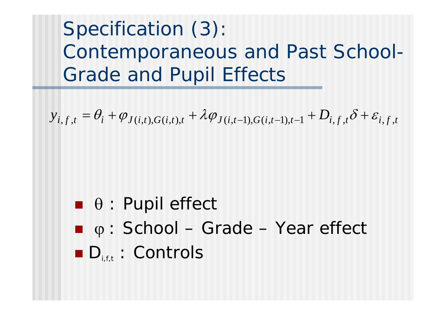#### Specification (3): Contemporaneous and Past School-Grade and Pupil Effects

$$
y_{i,f,t} = \theta_i + \varphi_{J(i,t),G(i,t),t} + \lambda \varphi_{J(i,t-1),G(i,t-1),t-1} + D_{i,f,t} \delta + \varepsilon_{i,f,t}
$$

- $\blacksquare$   $\theta$  : Pupil effect
- **■** φ : School Grade Year effect
- $\blacksquare$   $\blacksquare$   $\blacksquare$   $\blacksquare$   $\blacksquare$   $\blacksquare$   $\blacksquare$   $\blacksquare$   $\blacksquare$   $\blacksquare$   $\blacksquare$   $\blacksquare$   $\blacksquare$   $\blacksquare$   $\blacksquare$   $\blacksquare$   $\blacksquare$   $\blacksquare$   $\blacksquare$   $\blacksquare$   $\blacksquare$   $\blacksquare$   $\blacksquare$   $\blacksquare$   $\blacksquare$   $\blacksquare$   $\blacksquare$   $\blacksquare$   $\blacksquare$   $\blacksquare$   $\blacksquare$   $\blacks$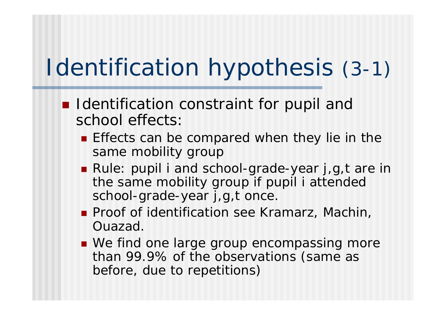# Identification hypothesis (3-1)

- **I** Identification constraint for pupil and school effects:
	- **Effects can be compared when they lie in the** same *mobility group*
	- Rule: pupil *i* and school-grade-year *j,g,t* are in the same *mobility group* if pupil i attended school-grade-year *j,g,t* once.
	- **Proof of identification see Kramarz, Machin,** Ouazad.
	- We find one large group encompassing more than 99.9% of the observations (same as before, due to repetitions)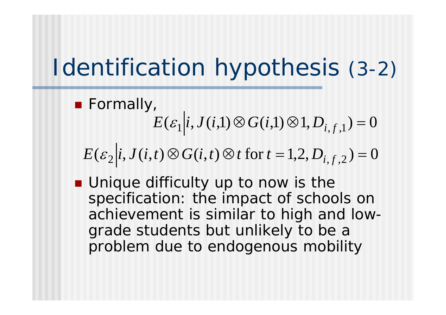# Identification hypothesis (3-2)

**Formally,**  $E(\varepsilon_1|i,J(i,1)\otimes G(i,1)\otimes 1,D_{i,f,1})$  $=0$ 

$$
E(\varepsilon_2|i, J(i,t)\otimes G(i,t)\otimes t \text{ for } t=1,2, D_{i,f,2})=0
$$

**Despare Unique difficulty up to now is the** specification: the impact of schools on achievement is similar to high and lowgrade students but unlikely to be a problem due to endogenous mobility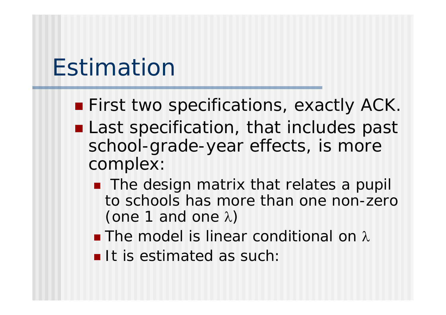# Estimation

- **First two specifications, exactly ACK.**
- **Last specification, that includes past** school-grade-year effects, is more complex:
	- **The design matrix that relates a pupil** to schools has more than one non-zero (one 1 and one λ )
	- **. The model is linear conditional on λ**
	- **If is estimated as such:**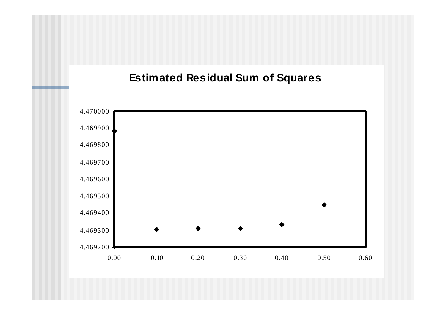#### **Estimated Residual Sum of Squares**

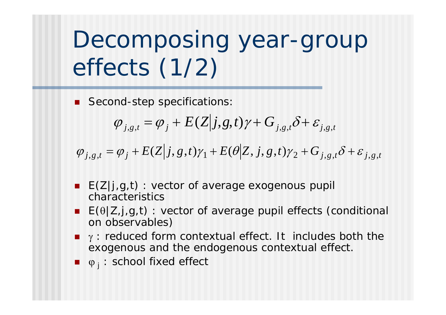# Decomposing year-group effects (1/2)

**Second-step specifications:** 

$$
\varphi_{j,g,t} = \varphi_j + E(Z|j,g,t)\gamma + G_{j,g,t}\delta + \varepsilon_{j,g,t}
$$

 $j, g, t - \varphi_j$  $\varphi_{j,g,t} = \varphi_j + E(Z|j,g,t)\gamma_1 + E(\theta|Z,j,g,t)\gamma_2 + G_{j,g,t}\delta + \varepsilon_{j,g,t}$ 

- E(Z|j,g,t) : vector of average exogenous pupil characteristics
- $\blacksquare$   $\mathsf{E}(\theta|\mathsf{Z},\mathsf{j},\mathsf{g},\mathsf{t})$  : vector of average pupil effects (conditional on observables)
- $\blacksquare$   $\gamma$  : reduced form contextual effect. It includes both the exogenous and the endogenous contextual effect.
- $\bullet$   $\phi$  *;* : school fixed effect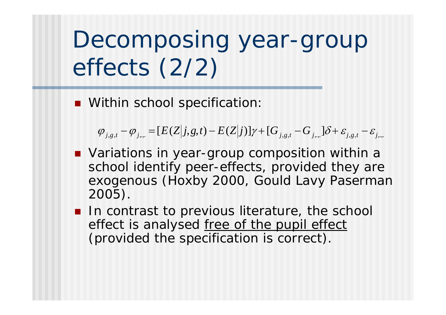Decomposing year-group effects (2/2)

**Nithin school specification:** 

 $\varphi_{j,g,t} - \varphi_{j,...} = [E(Z|j,g,t)]$  $- E(Z|j)]\gamma + [G_{_{j,g,t}} - G_{_{j,..}}]\delta + \varepsilon_{_{j,g,t}} - \varepsilon_{_{j,..}}$ 

- **Nariations in year-group composition within a** school identify peer-effects, provided they are exogenous (Hoxby 2000, Gould Lavy Paserman 2005).
- **If** In contrast to previous literature, the school effect is analysed *free of the pupil effect* (provided the specification is correct).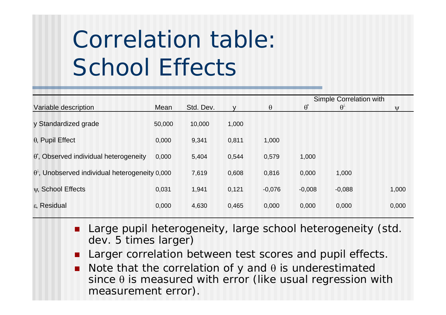# Correlation table: School Effects

|                                                              |        |           |       |          | Simple Correlation with |                  |              |
|--------------------------------------------------------------|--------|-----------|-------|----------|-------------------------|------------------|--------------|
| Variable description                                         | Mean   | Std. Dev. |       | $\theta$ | $\theta^*$              | $\theta^{\perp}$ | $\mathbf{U}$ |
| y Standardized grade                                         | 50,000 | 10,000    | 1,000 |          |                         |                  |              |
| $\theta$ , Pupil Effect                                      | 0,000  | 9,341     | 0,811 | 1,000    |                         |                  |              |
| $\theta^*$ , Observed individual heterogeneity               | 0,000  | 5,404     | 0,544 | 0,579    | 1,000                   |                  |              |
| $\theta^{\perp}$ , Unobserved individual heterogeneity 0,000 |        | 7,619     | 0,608 | 0,816    | 0,000                   | 1,000            |              |
| w, School Effects                                            | 0,031  | 1,941     | 0,121 | $-0,076$ | $-0,008$                | $-0,088$         | 1,000        |
| $ε$ , Residual                                               | 0,000  | 4,630     | 0,465 | 0,000    | 0,000                   | 0,000            | 0,000        |
|                                                              |        |           |       |          |                         |                  |              |

- **Large pupil heterogeneity, large school heterogeneity (std.** dev. 5 times larger)
- **Larger correlation between test scores and pupil effects.**
- $\blacksquare$  Note that the correlation of y and  $\theta$  is underestimated since  $\theta$  is measured with error (like usual regression with measurement error).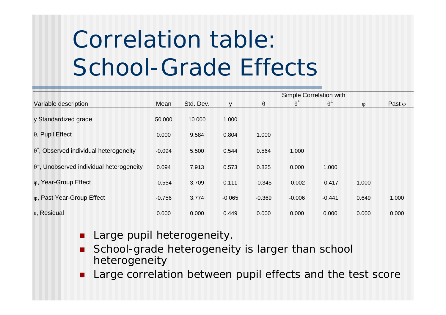# Correlation table:School-Grade Effects

|                                                        |          |           |          | Simple Correlation with |            |                  |          |                |
|--------------------------------------------------------|----------|-----------|----------|-------------------------|------------|------------------|----------|----------------|
| Variable description                                   | Mean     | Std. Dev. |          | $\theta$                | $\theta^*$ | $\theta^{\perp}$ | $\omega$ | Past $\varphi$ |
| y Standardized grade                                   | 50.000   | 10.000    | 1.000    |                         |            |                  |          |                |
| $\theta$ , Pupil Effect                                | 0.000    | 9.584     | 0.804    | 1.000                   |            |                  |          |                |
| $\theta^*$ , Observed individual heterogeneity         | $-0.094$ | 5.500     | 0.544    | 0.564                   | 1.000      |                  |          |                |
| $\theta^{\perp}$ , Unobserved individual heterogeneity | 0.094    | 7.913     | 0.573    | 0.825                   | 0.000      | 1.000            |          |                |
| φ, Year-Group Effect                                   | $-0.554$ | 3.709     | 0.111    | $-0.345$                | $-0.002$   | $-0.417$         | 1.000    |                |
| φ, Past Year-Group Effect                              | $-0.756$ | 3.774     | $-0.065$ | $-0.369$                | $-0.006$   | $-0.441$         | 0.649    | 1.000          |
| $\epsilon$ , Residual                                  | 0.000    | 0.000     | 0.449    | 0.000                   | 0.000      | 0.000            | 0.000    | 0.000          |

- Large pupil heterogeneity.
- $\overline{\phantom{a}}$  School-grade heterogeneity is larger than school heterogeneity
- **Large correlation between pupil effects and the test score**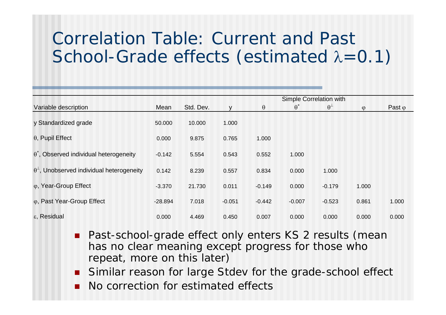#### Correlation Table: Current and Past School-Grade effects (estimated λ=0.1)

|                                                        |           |           | Simple Correlation with |          |            |                  |          |                |  |  |
|--------------------------------------------------------|-----------|-----------|-------------------------|----------|------------|------------------|----------|----------------|--|--|
| Variable description                                   | Mean      | Std. Dev. |                         | $\theta$ | $\theta^*$ | $\theta^{\perp}$ | $\omega$ | Past $\varphi$ |  |  |
| y Standardized grade                                   | 50.000    | 10.000    | 1.000                   |          |            |                  |          |                |  |  |
| $\theta$ , Pupil Effect                                | 0.000     | 9.875     | 0.765                   | 1.000    |            |                  |          |                |  |  |
| $\theta^*$ , Observed individual heterogeneity         | $-0.142$  | 5.554     | 0.543                   | 0.552    | 1.000      |                  |          |                |  |  |
| $\theta^{\perp}$ , Unobserved individual heterogeneity | 0.142     | 8.239     | 0.557                   | 0.834    | 0.000      | 1.000            |          |                |  |  |
| $\varphi$ , Year-Group Effect                          | $-3.370$  | 21.730    | 0.011                   | $-0.149$ | 0.000      | $-0.179$         | 1.000    |                |  |  |
| $\varphi$ , Past Year-Group Effect                     | $-28.894$ | 7.018     | $-0.051$                | $-0.442$ | $-0.007$   | $-0.523$         | 0.861    | 1.000          |  |  |
| $\epsilon$ , Residual                                  | 0.000     | 4.469     | 0.450                   | 0.007    | 0.000      | 0.000            | 0.000    | 0.000          |  |  |

- Past-school-grade effect only enters KS 2 results (mean has no clear meaning except progress for those who repeat, more on this later)
- Similar reason for large Stdev for the grade-school effect
- П No correction for estimated effects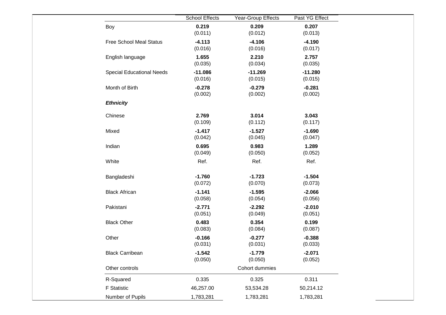|                                  | <b>School Effects</b> | Year-Group Effects | Past YG Effect |
|----------------------------------|-----------------------|--------------------|----------------|
| Boy                              | 0.219                 | 0.209              | 0.207          |
|                                  | (0.011)               | (0.012)            | (0.013)        |
| <b>Free School Meal Status</b>   | $-4.113$              | $-4.106$           | $-4.190$       |
|                                  | (0.016)               | (0.016)            | (0.017)        |
| English language                 | 1.655                 | 2.210              | 2.757          |
|                                  | (0.035)               | (0.034)            | (0.035)        |
| <b>Special Educational Needs</b> | $-11.086$             | $-11.269$          | $-11.280$      |
|                                  | (0.016)               | (0.015)            | (0.015)        |
| Month of Birth                   | $-0.278$              | $-0.279$           | $-0.281$       |
|                                  | (0.002)               | (0.002)            | (0.002)        |
| <b>Ethnicity</b>                 |                       |                    |                |
| Chinese                          | 2.769                 | 3.014              | 3.043          |
|                                  | (0.109)               | (0.112)            | (0.117)        |
| Mixed                            | $-1.417$              | $-1.527$           | $-1.690$       |
|                                  | (0.042)               | (0.045)            | (0.047)        |
| Indian                           | 0.695                 | 0.983              | 1.289          |
|                                  | (0.049)               | (0.050)            | (0.052)        |
| White                            | Ref.                  | Ref.               | Ref.           |
| Bangladeshi                      | $-1.760$              | $-1.723$           | $-1.504$       |
|                                  | (0.072)               | (0.070)            | (0.073)        |
| <b>Black African</b>             | $-1.141$              | $-1.595$           | $-2.066$       |
|                                  | (0.058)               | (0.054)            | (0.056)        |
| Pakistani                        | $-2.771$              | $-2.292$           | $-2.010$       |
|                                  | (0.051)               | (0.049)            | (0.051)        |
| <b>Black Other</b>               | 0.483                 | 0.354              | 0.199          |
|                                  | (0.083)               | (0.084)            | (0.087)        |
| Other                            | $-0.166$              | $-0.277$           | $-0.388$       |
|                                  | (0.031)               | (0.031)            | (0.033)        |
| <b>Black Carribean</b>           | $-1.542$              | $-1.779$           | $-2.071$       |
|                                  | (0.050)               | (0.050)            | (0.052)        |
| Other controls                   |                       | Cohort dummies     |                |
| R-Squared                        | 0.335                 | 0.325              | 0.311          |
| <b>F</b> Statistic               | 46,257.00             | 53,534.28          | 50,214.12      |
| Number of Pupils                 | 1,783,281             | 1,783,281          | 1,783,281      |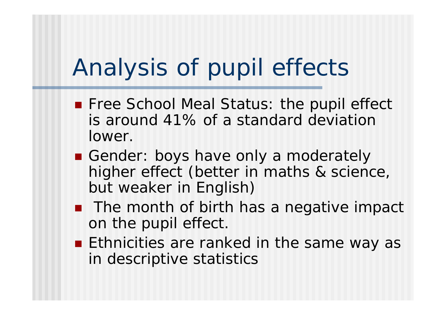# Analysis of pupil effects

- **Filter School Meal Status: the pupil effect** is around 41% of a standard deviation lower.
- Gender: boys have only a moderately higher effect (better in maths & science, but weaker in English)
- The month of birth has a negative impact on the pupil effect.
- **Ethnicities are ranked in the same way as** in descriptive statistics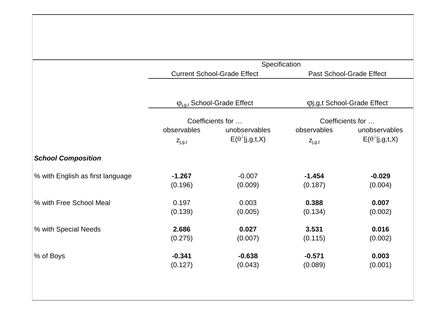|                                  | Specification |                                       |                                 |                                          |  |  |  |  |
|----------------------------------|---------------|---------------------------------------|---------------------------------|------------------------------------------|--|--|--|--|
|                                  |               | <b>Current School-Grade Effect</b>    | <b>Past School-Grade Effect</b> |                                          |  |  |  |  |
|                                  |               | $\varphi_{j,g,t}$ School-Grade Effect |                                 | <b><i>Φj,g,t School-Grade Effect</i></b> |  |  |  |  |
|                                  |               | Coefficients for                      | Coefficients for                |                                          |  |  |  |  |
|                                  | observables   | unobservables                         | observables                     | unobservables                            |  |  |  |  |
|                                  | $Z_{j,g,t}$   | $E(\theta^{\perp}   j, g, t, X)$      | $Z_{j,g,t}$                     | $E(\theta^{\perp}   j, g, t, X)$         |  |  |  |  |
| <b>School Composition</b>        |               |                                       |                                 |                                          |  |  |  |  |
| % with English as first language | $-1.267$      | $-0.007$                              | $-1.454$                        | $-0.029$                                 |  |  |  |  |
|                                  | (0.196)       | (0.009)                               | (0.187)                         | (0.004)                                  |  |  |  |  |
| % with Free School Meal          | 0.197         | 0.003                                 | 0.388                           | 0.007                                    |  |  |  |  |
|                                  | (0.139)       | (0.005)                               | (0.134)                         | (0.002)                                  |  |  |  |  |
| % with Special Needs             | 2.686         | 0.027                                 | 3.531                           | 0.016                                    |  |  |  |  |
|                                  | (0.275)       | (0.007)                               | (0.115)                         | (0.002)                                  |  |  |  |  |
| % of Boys                        | $-0.341$      | $-0.638$                              | $-0.571$                        | 0.003                                    |  |  |  |  |
|                                  | (0.127)       | (0.043)                               | (0.089)                         | (0.001)                                  |  |  |  |  |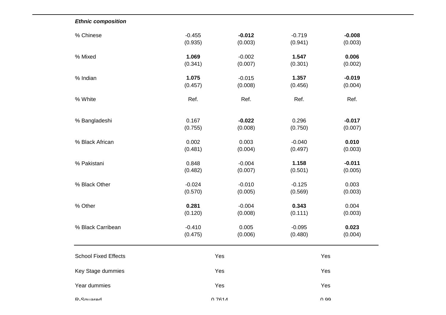#### *Ethnic composition*

| % Chinese                   | $-0.455$ | $-0.012$ | $-0.719$ | $-0.008$ |  |
|-----------------------------|----------|----------|----------|----------|--|
|                             | (0.935)  | (0.003)  | (0.941)  | (0.003)  |  |
| % Mixed                     | 1.069    | $-0.002$ | 1.547    | 0.006    |  |
|                             | (0.341)  | (0.007)  | (0.301)  | (0.002)  |  |
| % Indian                    | 1.075    | $-0.015$ | 1.357    | $-0.019$ |  |
|                             | (0.457)  | (0.008)  | (0.456)  | (0.004)  |  |
| % White                     | Ref.     | Ref.     | Ref.     | Ref.     |  |
| % Bangladeshi               | 0.167    | $-0.022$ | 0.296    | $-0.017$ |  |
|                             | (0.755)  | (0.008)  | (0.750)  | (0.007)  |  |
| % Black African             | 0.002    | 0.003    | $-0.040$ | 0.010    |  |
|                             | (0.481)  | (0.004)  | (0.497)  | (0.003)  |  |
| % Pakistani                 | 0.848    | $-0.004$ | 1.158    | $-0.011$ |  |
|                             | (0.482)  | (0.007)  | (0.501)  | (0.005)  |  |
| % Black Other               | $-0.024$ | $-0.010$ | $-0.125$ | 0.003    |  |
|                             | (0.570)  | (0.005)  | (0.569)  | (0.003)  |  |
| % Other                     | 0.281    | $-0.004$ | 0.343    | 0.004    |  |
|                             | (0.120)  | (0.008)  | (0.111)  | (0.003)  |  |
| % Black Carribean           | $-0.410$ | 0.005    | $-0.095$ | 0.023    |  |
|                             | (0.475)  | (0.006)  | (0.480)  | (0.004)  |  |
| <b>School Fixed Effects</b> |          | Yes      |          | Yes      |  |
| Key Stage dummies           |          | Yes      | Yes      |          |  |
| Year dummies                |          | Yes      | Yes      |          |  |
| D. Caughad                  |          | 0.7044   | 0.00     |          |  |

0 7614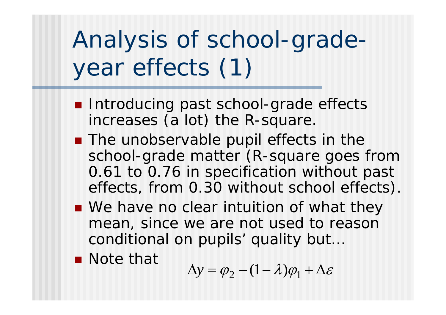# Analysis of school-gradeyear effects (1)

- **Introducing past school-grade effects** increases (a lot) the R-square.
- The unobservable pupil effects in the school-grade matter (R-square goes from 0.61 to 0.76 in specification without past effects, from 0.30 without school effects).
- We have no clear intuition of what they mean, since we are not used to reason conditional on pupils' quality but…

■ Note that

$$
\Delta y = \varphi_2 - (1 - \lambda)\varphi_1 + \Delta \varepsilon
$$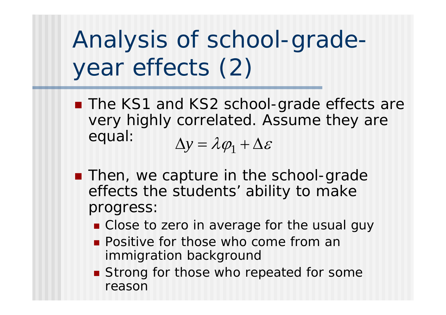# Analysis of school-gradeyear effects (2)

- The KS1 and KS2 school-grade effects are very highly correlated. Assume they are equal:  $\Delta {\rm v} =$  $y = \lambda \varphi_1 + \Delta \varepsilon$
- **Then, we capture in the school-grade** effects the students' ability to make progress:
	- **.** Close to zero in average for the usual guy
	- **Positive for those who come from an** immigration background
	- **Strong for those who repeated for some** reason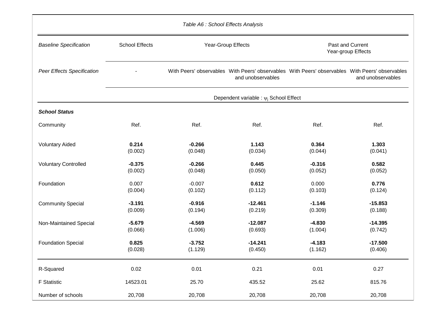| <b>Baseline Specification</b>     | <b>School Effects</b> |                     | Year-Group Effects                          | Past and Current<br>Year-group Effects                                                          |                      |  |
|-----------------------------------|-----------------------|---------------------|---------------------------------------------|-------------------------------------------------------------------------------------------------|----------------------|--|
| <b>Peer Effects Specification</b> |                       |                     | and unobservables                           | With Peers' observables With Peers' observables With Peers' observables With Peers' observables | and unobservables    |  |
|                                   |                       |                     | Dependent variable : $\psi_i$ School Effect |                                                                                                 |                      |  |
| <b>School Status</b>              |                       |                     |                                             |                                                                                                 |                      |  |
| Community                         | Ref.                  | Ref.                | Ref.                                        | Ref.                                                                                            | Ref.                 |  |
| <b>Voluntary Aided</b>            | 0.214<br>(0.002)      | $-0.266$<br>(0.048) | 1.143<br>(0.034)                            | 0.364<br>(0.044)                                                                                | 1.303<br>(0.041)     |  |
| <b>Voluntary Controlled</b>       | $-0.375$<br>(0.002)   | $-0.266$<br>(0.048) | 0.445<br>(0.050)                            | $-0.316$<br>(0.052)                                                                             | 0.582<br>(0.052)     |  |
| Foundation                        | 0.007<br>(0.004)      | $-0.007$<br>(0.102) | 0.612<br>(0.112)                            | 0.000<br>(0.103)                                                                                | 0.776<br>(0.124)     |  |
| <b>Community Special</b>          | $-3.191$<br>(0.009)   | $-0.916$<br>(0.194) | $-12.461$<br>(0.219)                        | $-1.146$<br>(0.309)                                                                             | $-15.853$<br>(0.188) |  |
| Non-Maintained Special            | $-5.679$<br>(0.066)   | $-4.569$<br>(1.006) | $-12.087$<br>(0.693)                        | $-4.830$<br>(1.004)                                                                             | $-14.395$<br>(0.742) |  |
| <b>Foundation Special</b>         | 0.825<br>(0.028)      | $-3.752$<br>(1.129) | $-14.241$<br>(0.450)                        | $-4.183$<br>(1.162)                                                                             | $-17.500$<br>(0.406) |  |
| R-Squared                         | 0.02                  | 0.01                | 0.21                                        | 0.01                                                                                            | 0.27                 |  |
| <b>F</b> Statistic                | 14523.01              | 25.70               | 435.52                                      | 25.62                                                                                           | 815.76               |  |
| Number of schools                 | 20,708                | 20,708              | 20,708                                      | 20,708                                                                                          | 20,708               |  |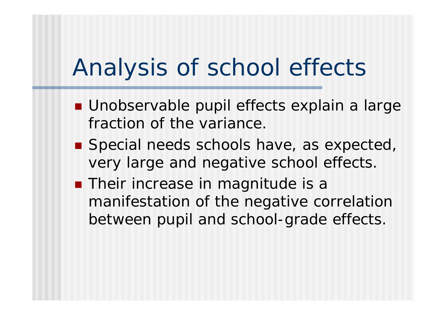## Analysis of school effects

- Unobservable pupil effects explain a large fraction of the variance.
- **Special needs schools have, as expected,** very large and negative school effects.
- **Their increase in magnitude is a** manifestation of the negative correlation between pupil and school-grade effects.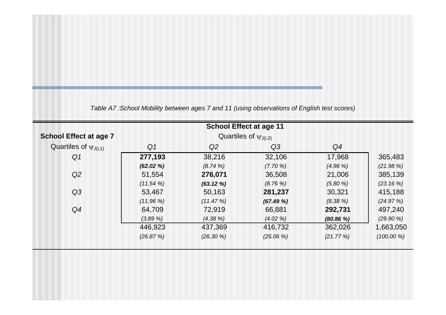|                               |                |             | <b>School Effect at age 11</b> |             |              |
|-------------------------------|----------------|-------------|--------------------------------|-------------|--------------|
| <b>School Effect at age 7</b> |                |             | Quartiles of $\psi_{J(i,2)}$   |             |              |
| Quartiles of $\psi_{J(i,1)}$  | Q <sub>1</sub> | Q2          | Q3                             | Q4          |              |
| Q <sub>1</sub>                | 277,193        | 38,216      | 32,106                         | 17,968      | 365,483      |
|                               | $(62.02\%)$    | $(8.74\%)$  | (7.70%                         | $(4.96\% )$ | (21.98%)     |
| Q2                            | 51,554         | 276,071     | 36,508                         | 21,006      | 385,139      |
|                               | $(11.54\%)$    | (63.12%)    | $(8.76\%)$                     | (5.80%      | $(23.16\%)$  |
| Q3                            | 53,467         | 50,163      | 281,237                        | 30,321      | 415,188      |
|                               | $(11.96\%)$    | (11.47%)    | (67.49%)                       | $(8.38\%)$  | (24.97%)     |
| Q4                            | 64,709         | 72,919      | 66,881                         | 292,731     | 497,240      |
|                               | $(3.89\%)$     | $(4.38\% )$ | $(4.02\% )$                    | $(80.86\%)$ | $(29.90\%)$  |
|                               | 446,923        | 437,369     | 416,732                        | 362,026     | 1,663,050    |
|                               | (26.87%)       | $(26.30\%)$ | $(25.06\%)$                    | (21.77%)    | $(100.00\%)$ |

*Table A7 :School Mobility between ages 7 and 11 (using observations of English test scores)*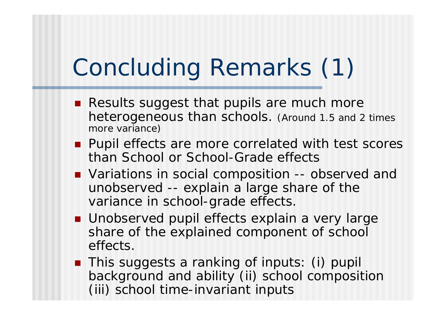# Concluding Remarks (1)

- **Results suggest that pupils are much more** heterogeneous than schools. *(Around 1.5 and 2 times more variance)*
- **Pupil effects are more correlated with test scores** than School or School-Grade effects
- **Nariations in social composition -- observed and** unobserved -- explain a large share of the variance in school-grade effects.
- **Unobserved pupil effects explain a very large** share of the explained component of school effects.
- **This suggests a ranking of inputs: (i) pupil** background and ability (ii) school composition (iii) school time-invariant inputs